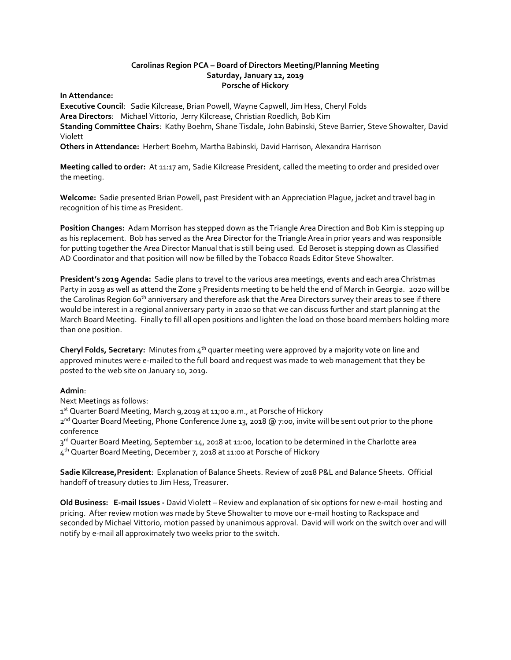### **Carolinas Region PCA – Board of Directors Meeting/Planning Meeting Saturday, January 12, 2019 Porsche of Hickory**

**In Attendance:** 

**Executive Council**: Sadie Kilcrease, Brian Powell, Wayne Capwell, Jim Hess, Cheryl Folds **Area Directors**: Michael Vittorio, Jerry Kilcrease, Christian Roedlich, Bob Kim **Standing Committee Chairs**: Kathy Boehm, Shane Tisdale, John Babinski, Steve Barrier, Steve Showalter, David Violett

**Others in Attendance:** Herbert Boehm, Martha Babinski, David Harrison, Alexandra Harrison

**Meeting called to order:** At 11:17 am, Sadie Kilcrease President, called the meeting to order and presided over the meeting.

**Welcome:** Sadie presented Brian Powell, past President with an Appreciation Plague, jacket and travel bag in recognition of his time as President.

**Position Changes:** Adam Morrison has stepped down as the Triangle Area Direction and Bob Kim is stepping up as his replacement. Bob has served as the Area Director for the Triangle Area in prior years and was responsible for putting together the Area Director Manual that is still being used. Ed Beroset is stepping down as Classified AD Coordinator and that position will now be filled by the Tobacco Roads Editor Steve Showalter.

**President's 2019 Agenda:** Sadie plans to travel to the various area meetings, events and each area Christmas Party in 2019 as well as attend the Zone 3 Presidents meeting to be held the end of March in Georgia. 2020 will be the Carolinas Region 60<sup>th</sup> anniversary and therefore ask that the Area Directors survey their areas to see if there would be interest in a regional anniversary party in 2020 so that we can discuss further and start planning at the March Board Meeting. Finally to fill all open positions and lighten the load on those board members holding more than one position.

**Cheryl Folds, Secretary:** Minutes from 4<sup>th</sup> quarter meeting were approved by a majority vote on line and approved minutes were e-mailed to the full board and request was made to web management that they be posted to the web site on January 10, 2019.

#### **Admin**:

Next Meetings as follows:

1st Quarter Board Meeting, March 9,2019 at 11;00 a.m., at Porsche of Hickory

2<sup>nd</sup> Quarter Board Meeting, Phone Conference June 13, 2018 @ 7:00, invite will be sent out prior to the phone conference

3<sup>rd</sup> Quarter Board Meeting, September 14, 2018 at 11:00, location to be determined in the Charlotte area 4<sup>th</sup> Quarter Board Meeting, December 7, 2018 at 11:00 at Porsche of Hickory

**Sadie Kilcrease,President**: Explanation of Balance Sheets. Review of 2018 P&L and Balance Sheets. Official handoff of treasury duties to Jim Hess, Treasurer.

**Old Business: E-mail Issues -** David Violett – Review and explanation of six options for new e-mail hosting and pricing. After review motion was made by Steve Showalter to move our e-mail hosting to Rackspace and seconded by Michael Vittorio, motion passed by unanimous approval. David will work on the switch over and will notify by e-mail all approximately two weeks prior to the switch.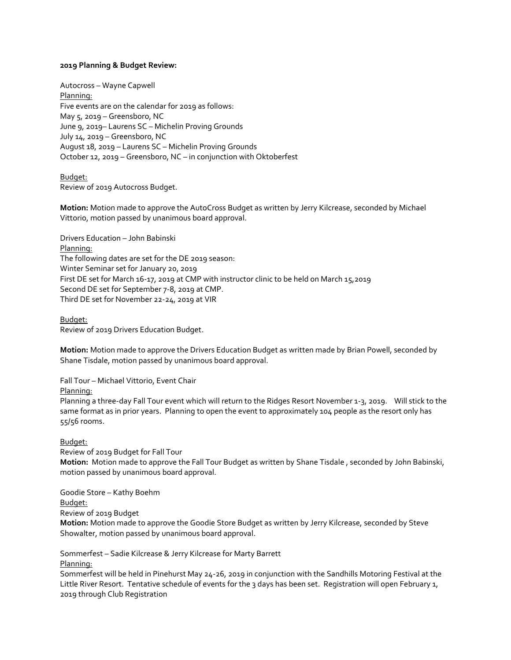#### **2019 Planning & Budget Review:**

Autocross – Wayne Capwell Planning: Five events are on the calendar for 2019 as follows: May 5, 2019 – Greensboro, NC June 9, 2019– Laurens SC – Michelin Proving Grounds July 14, 2019 – Greensboro, NC August 18, 2019 – Laurens SC – Michelin Proving Grounds October 12, 2019 – Greensboro, NC – in conjunction with Oktoberfest

Budget: Review of 2019 Autocross Budget.

**Motion:** Motion made to approve the AutoCross Budget as written by Jerry Kilcrease, seconded by Michael Vittorio, motion passed by unanimous board approval.

Drivers Education – John Babinski Planning: The following dates are set for the DE 2019 season: Winter Seminar set for January 20, 2019 First DE set for March 16-17, 2019 at CMP with instructor clinic to be held on March 15,2019 Second DE set for September 7-8, 2019 at CMP. Third DE set for November 22-24, 2019 at VIR

Budget: Review of 2019 Drivers Education Budget.

**Motion:** Motion made to approve the Drivers Education Budget as written made by Brian Powell, seconded by Shane Tisdale, motion passed by unanimous board approval.

Fall Tour – Michael Vittorio, Event Chair

Planning:

Planning a three-day Fall Tour event which will return to the Ridges Resort November 1-3, 2019. Will stick to the same format as in prior years. Planning to open the event to approximately 104 people as the resort only has 55/56 rooms.

#### Budget:

Review of 2019 Budget for Fall Tour **Motion:** Motion made to approve the Fall Tour Budget as written by Shane Tisdale , seconded by John Babinski, motion passed by unanimous board approval.

Goodie Store – Kathy Boehm

Budget:

Review of 2019 Budget

**Motion:** Motion made to approve the Goodie Store Budget as written by Jerry Kilcrease, seconded by Steve Showalter, motion passed by unanimous board approval.

Sommerfest – Sadie Kilcrease & Jerry Kilcrease for Marty Barrett Planning:

Sommerfest will be held in Pinehurst May 24-26, 2019 in conjunction with the Sandhills Motoring Festival at the Little River Resort. Tentative schedule of events for the 3 days has been set. Registration will open February 1, 2019 through Club Registration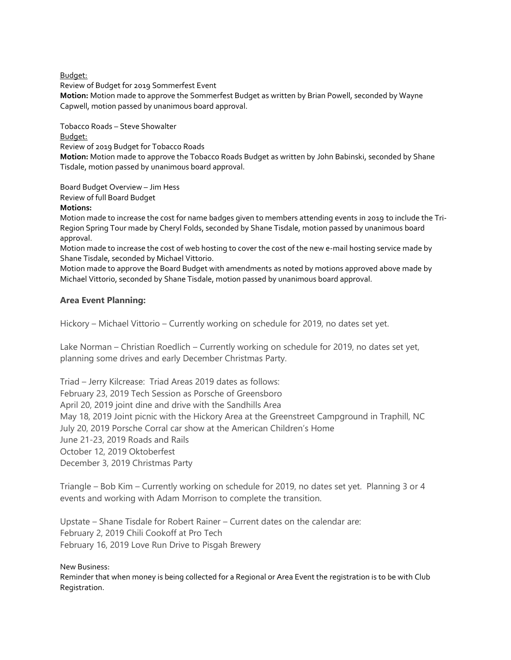Budget:

Review of Budget for 2019 Sommerfest Event **Motion:** Motion made to approve the Sommerfest Budget as written by Brian Powell, seconded by Wayne Capwell, motion passed by unanimous board approval.

Tobacco Roads – Steve Showalter

Budget:

Review of 2019 Budget for Tobacco Roads **Motion:** Motion made to approve the Tobacco Roads Budget as written by John Babinski, seconded by Shane Tisdale, motion passed by unanimous board approval.

Board Budget Overview – Jim Hess

Review of full Board Budget

## **Motions:**

Motion made to increase the cost for name badges given to members attending events in 2019 to include the Tri-Region Spring Tour made by Cheryl Folds, seconded by Shane Tisdale, motion passed by unanimous board approval.

Motion made to increase the cost of web hosting to cover the cost of the new e-mail hosting service made by Shane Tisdale, seconded by Michael Vittorio.

Motion made to approve the Board Budget with amendments as noted by motions approved above made by Michael Vittorio, seconded by Shane Tisdale, motion passed by unanimous board approval.

# **Area Event Planning:**

Hickory – Michael Vittorio – Currently working on schedule for 2019, no dates set yet.

Lake Norman – Christian Roedlich – Currently working on schedule for 2019, no dates set yet, planning some drives and early December Christmas Party.

Triad – Jerry Kilcrease: Triad Areas 2019 dates as follows: February 23, 2019 Tech Session as Porsche of Greensboro April 20, 2019 joint dine and drive with the Sandhills Area May 18, 2019 Joint picnic with the Hickory Area at the Greenstreet Campground in Traphill, NC July 20, 2019 Porsche Corral car show at the American Children's Home June 21-23, 2019 Roads and Rails October 12, 2019 Oktoberfest December 3, 2019 Christmas Party

Triangle – Bob Kim – Currently working on schedule for 2019, no dates set yet. Planning 3 or 4 events and working with Adam Morrison to complete the transition.

Upstate – Shane Tisdale for Robert Rainer – Current dates on the calendar are: February 2, 2019 Chili Cookoff at Pro Tech February 16, 2019 Love Run Drive to Pisgah Brewery

New Business:

Reminder that when money is being collected for a Regional or Area Event the registration is to be with Club Registration.